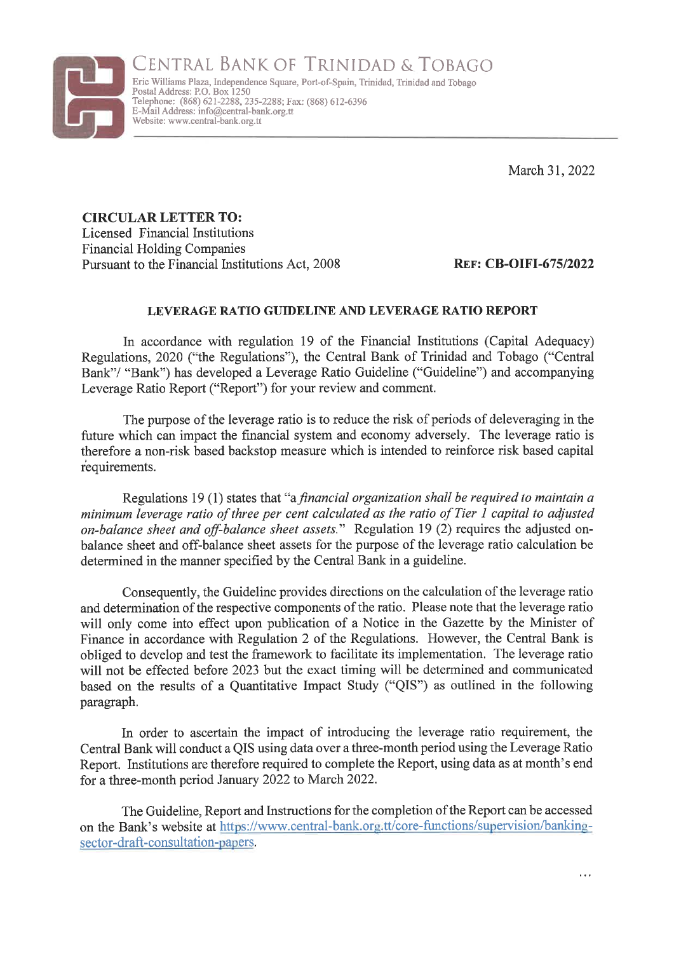

CENTRAL BANK OF TRINIDAD & TOBAGO Erie Williams Plaza, Independence Square, Port-of-Spain, Trinidad, Trinidad and Tobago Postal Address: P.O. Box 1250 Telephone: (868) 621-2288, 235-2288; Fax: (868) 612-6396

March 31, 2022

CIRCULAR LETTER TO: Licensed Financial Institutions Financial Holding Companies Pursuant to the Financial Institutions Act, 2008 REF: CB-OIFI-675/2022

E-Mail Address: info@central-bank.org.tt

## LEVERAGE RATIO GUIDELINE AND LEVERAGE RATIO REPORT

In accordance with regulation 19 of the Financial Institutions (Capital Adequacy) Regulations, 2020 ("the Regulations"), the Central Bank of Trinidad and Tobago ("Central Bank"/ "Bank") has developed a Leverage Ratio Guideline ("Guideline") and accompanying Leverage Ratio Report ("Report") for your review and comment.

The purpose of the leverage ratio is to reduce the risk of periods of deleveraging in the future which can impact the financial system and economy adversely. The leverage ratio is therefore a non-risk based backstop measure which is intended to reinforce risk based capital requirements.

Regulations 19(1) states that "a *financial organization shall be required to maintain a* minimum leverage ratio of three per cent calculated as the ratio of Tier 1 capital to adjusted on-balance sheet and off-balance sheet assets." Regulation 19 (2) requires the adjusted onbalance sheet and off-balance sheet assets for the purpose of the leverage ratio calculation be determined in the manner specified by the Central Bank in a guideline.

Consequently, the Guideline provides directions on the calculation of the leverage ratio and determination of the respective components of the ratio. Please note that the leverage ratio will only come into effect upon publication of a Notice in the Gazette by the Minister of Finance in accordance with Regulation 2 of the Regulations. However, the Central Bank is obliged to develop and test the framework to facilitate its implementation. The leverage ratio will not be effected before 2023 but the exact timing will be determined and communicated based on the results of a Quantitative Impact Study ("QIS") as outlined in the following paragraph.

In order to ascertain the impact of introducing the leverage ratio requirement, the Central Bank will conduct a QIS using data over a three-month period using the Leverage Ratio Report. Institutions are therefore required to complete the Report, using data as at month's end for a three-month period January 2022 to March 2022.

The Guideline, Report and Instructions for the completion of the Report can be accessed on the Bank's website at https://www.central-bank.org.tt/core-functions/supervision/bankingsector-draft-consultation-papers.